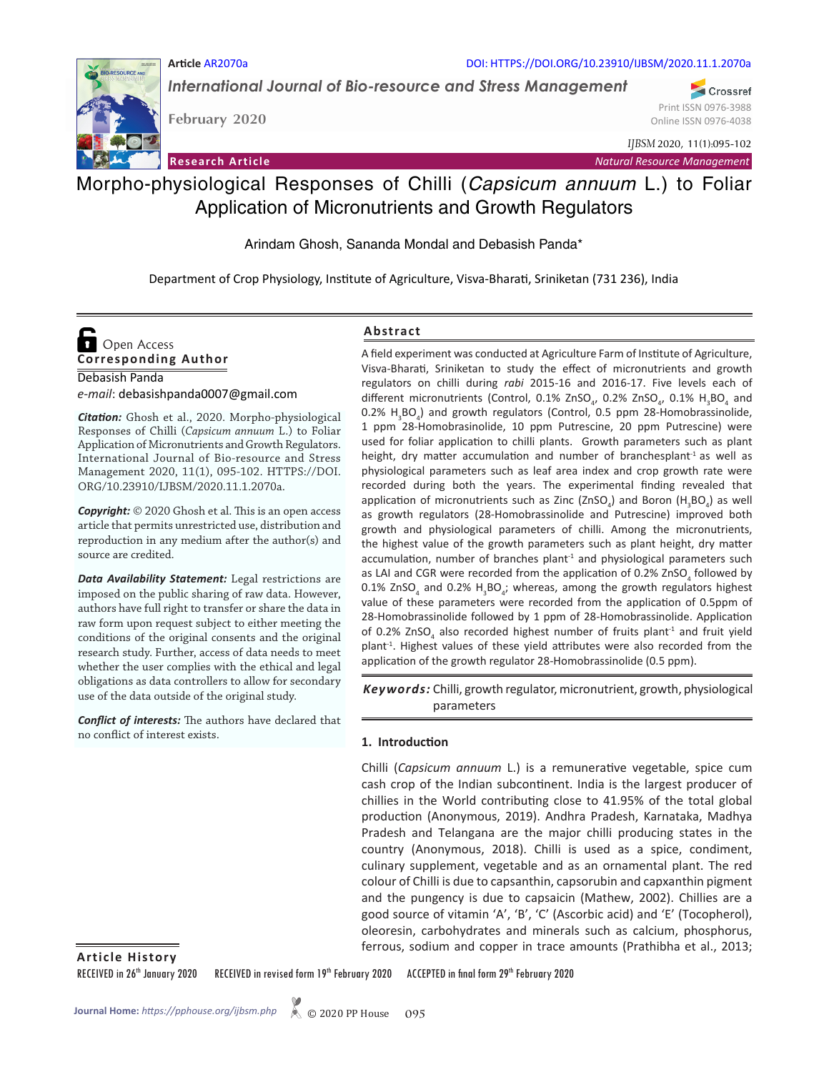

DOI: HTTPS://DOI.ORG/10.23910/IJBSM/2020.11.1.2070a

*International Journal of Bio-resource and Stress Management*

**February 2020**

Crossref Print ISSN 0976-3988 Online ISSN 0976-4038

*IJBSM* 2020, 11(1):095-102

**Research Article** *Natural Resource Management*

## Morpho-physiological Responses of Chilli (*Capsicum annuum* L.) to Foliar Application of Micronutrients and Growth Regulators

Arindam Ghosh, Sananda Mondal and Debasish Panda\*

Department of Crop Physiology, Institute of Agriculture, Visva-Bharati, Sriniketan (731 236), India

# **Corresponding Author**  Open Access

Debasish Panda *e-mail*: debasishpanda0007@gmail.com

*Citation:* Ghosh et al., 2020. Morpho-physiological Responses of Chilli (*Capsicum annuum* L.) to Foliar Application of Micronutrients and Growth Regulators. International Journal of Bio-resource and Stress Management 2020, 11(1), 095-102. HTTPS://DOI. ORG/10.23910/IJBSM/2020.11.1.2070a.

*Copyright:* © 2020 Ghosh et al. This is an open access article that permits unrestricted use, distribution and reproduction in any medium after the author(s) and source are credited.

*Data Availability Statement:* Legal restrictions are imposed on the public sharing of raw data. However, authors have full right to transfer or share the data in raw form upon request subject to either meeting the conditions of the original consents and the original research study. Further, access of data needs to meet whether the user complies with the ethical and legal obligations as data controllers to allow for secondary use of the data outside of the original study.

*Conflict of interests:* The authors have declared that no conflict of interest exists.

#### **Abstract**

A field experiment was conducted at Agriculture Farm of Institute of Agriculture, Visva-Bharati, Sriniketan to study the effect of micronutrients and growth regulators on chilli during *rabi* 2015-16 and 2016-17. Five levels each of different micronutrients (Control, 0.1% ZnSO<sub>4</sub>, 0.2% ZnSO<sub>4</sub>, 0.1%  $H_3BO_4$  and  $0.2\%$  H<sub>3</sub>BO<sub>4</sub>) and growth regulators (Control, 0.5 ppm 28-Homobrassinolide, 1 ppm 28-Homobrasinolide, 10 ppm Putrescine, 20 ppm Putrescine) were used for foliar application to chilli plants. Growth parameters such as plant height, dry matter accumulation and number of branchesplant<sup>1</sup> as well as physiological parameters such as leaf area index and crop growth rate were recorded during both the years. The experimental finding revealed that application of micronutrients such as Zinc (ZnSO<sub>4</sub>) and Boron (H<sub>3</sub>BO<sub>4</sub>) as well as growth regulators (28-Homobrassinolide and Putrescine) improved both growth and physiological parameters of chilli. Among the micronutrients, the highest value of the growth parameters such as plant height, dry matter accumulation, number of branches plant $1$  and physiological parameters such as LAI and CGR were recorded from the application of 0.2% ZnSO<sub>4</sub> followed by 0.1% ZnSO<sub>4</sub> and 0.2%  $H_3BO_4$ ; whereas, among the growth regulators highest value of these parameters were recorded from the application of 0.5ppm of 28-Homobrassinolide followed by 1 ppm of 28-Homobrassinolide. Application of 0.2% ZnSO<sub>4</sub> also recorded highest number of fruits plant<sup>-1</sup> and fruit yield plant<sup>-1</sup>. Highest values of these yield attributes were also recorded from the application of the growth regulator 28-Homobrassinolide (0.5 ppm).

Keywords: Chilli, growth regulator, micronutrient, growth, physiological parameters

#### **1. Introduction**

Chilli (*Capsicum annuum* L.) is a remunerative vegetable, spice cum cash crop of the Indian subcontinent. India is the largest producer of chillies in the World contributing close to 41.95% of the total global production (Anonymous, 2019). Andhra Pradesh, Karnataka, Madhya Pradesh and Telangana are the major chilli producing states in the country (Anonymous, 2018). Chilli is used as a spice, condiment, culinary supplement, vegetable and as an ornamental plant. The red colour of Chilli is due to capsanthin, capsorubin and capxanthin pigment and the pungency is due to capsaicin (Mathew, 2002). Chillies are a good source of vitamin 'A', 'B', 'C' (Ascorbic acid) and 'E' (Tocopherol), oleoresin, carbohydrates and minerals such as calcium, phosphorus, ferrous, sodium and copper in trace amounts (Prathibha et al., 2013; **Article History**

RECEIVED in 26<sup>th</sup> January 2020 RECEIVED in revised form 19<sup>th</sup> February 2020 ACCEPTED in final form 29<sup>th</sup> February 2020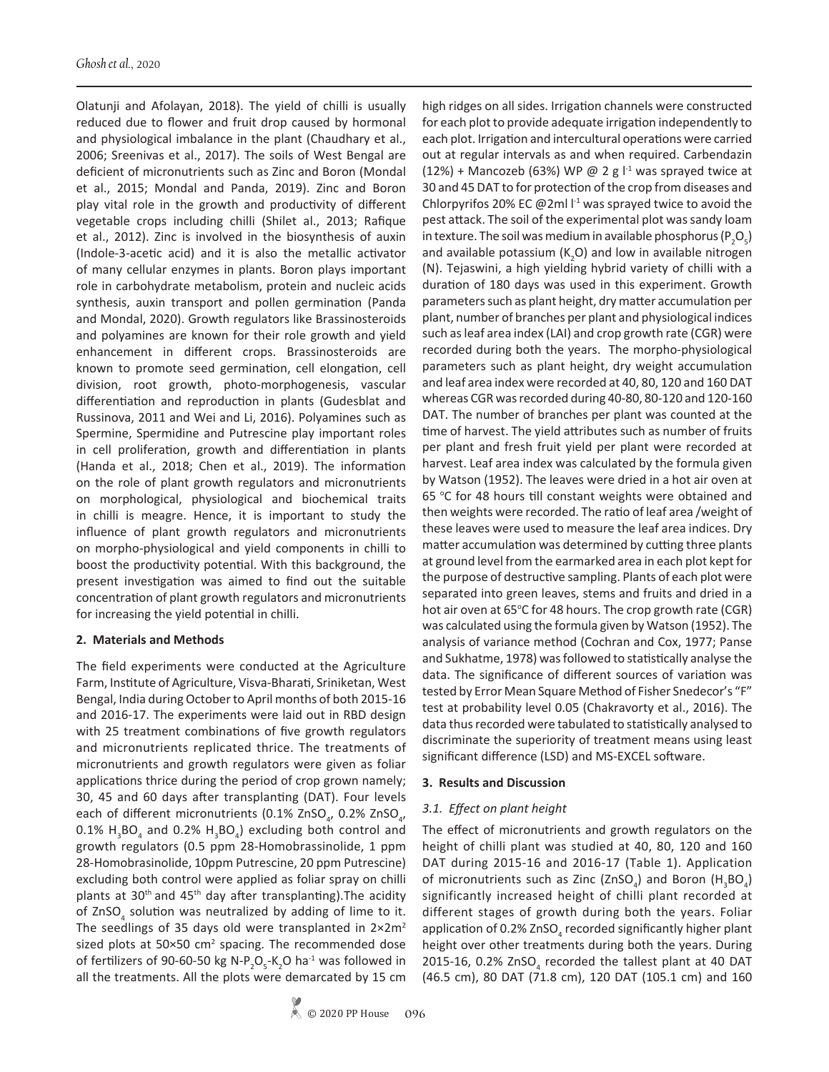Olatunji and Afolayan, 2018). The yield of chilli is usually reduced due to flower and fruit drop caused by hormonal and physiological imbalance in the plant (Chaudhary et al., 2006; Sreenivas et al., 2017). The soils of West Bengal are deficient of micronutrients such as Zinc and Boron (Mondal et al., 2015; Mondal and Panda, 2019). Zinc and Boron play vital role in the growth and productivity of different vegetable crops including chilli (Shilet al., 2013; Rafique et al., 2012). Zinc is involved in the biosynthesis of auxin (Indole-3-acetic acid) and it is also the metallic activator of many cellular enzymes in plants. Boron plays important role in carbohydrate metabolism, protein and nucleic acids synthesis, auxin transport and pollen germination (Panda and Mondal, 2020). Growth regulators like Brassinosteroids and polyamines are known for their role growth and yield enhancement in different crops. Brassinosteroids are known to promote seed germination, cell elongation, cell division, root growth, photo-morphogenesis, vascular differentiation and reproduction in plants (Gudesblat and Russinova, 2011 and Wei and Li, 2016). Polyamines such as Spermine, Spermidine and Putrescine play important roles in cell proliferation, growth and differentiation in plants (Handa et al., 2018; Chen et al., 2019). The information on the role of plant growth regulators and micronutrients on morphological, physiological and biochemical traits in chilli is meagre. Hence, it is important to study the influence of plant growth regulators and micronutrients on morpho-physiological and yield components in chilli to boost the productivity potential. With this background, the present investigation was aimed to find out the suitable concentration of plant growth regulators and micronutrients for increasing the yield potential in chilli.

#### **2. Materials and Methods**

The field experiments were conducted at the Agriculture Farm, Institute of Agriculture, Visva-Bharati, Sriniketan, West Bengal, India during October to April months of both 2015-16 and 2016-17. The experiments were laid out in RBD design with 25 treatment combinations of five growth regulators and micronutrients replicated thrice. The treatments of micronutrients and growth regulators were given as foliar applications thrice during the period of crop grown namely; 30, 45 and 60 days after transplanting (DAT). Four levels each of different micronutrients (0.1% ZnSO<sub>4</sub>, 0.2% ZnSO<sub>4</sub>, 0.1%  $H_3BO_4$  and 0.2%  $H_3BO_4$ ) excluding both control and growth regulators (0.5 ppm 28-Homobrassinolide, 1 ppm 28-Homobrasinolide, 10ppm Putrescine, 20 ppm Putrescine) excluding both control were applied as foliar spray on chilli plants at 30<sup>th</sup> and 45<sup>th</sup> day after transplanting). The acidity of ZnSO<sub>4</sub> solution was neutralized by adding of lime to it. The seedlings of 35 days old were transplanted in  $2\times 2m^2$ sized plots at  $50\times50$  cm<sup>2</sup> spacing. The recommended dose of fertilizers of 90-60-50 kg N- $P_2O_5$ -K<sub>2</sub>O ha<sup>-1</sup> was followed in all the treatments. All the plots were demarcated by 15 cm

high ridges on all sides. Irrigation channels were constructed for each plot to provide adequate irrigation independently to each plot. Irrigation and intercultural operations were carried out at regular intervals as and when required. Carbendazin (12%) + Mancozeb (63%) WP @ 2 g  $I^{-1}$  was sprayed twice at 30 and 45 DAT to for protection of the crop from diseases and Chlorpyrifos 20% EC @2ml  $I<sup>-1</sup>$  was sprayed twice to avoid the pest attack. The soil of the experimental plot was sandy loam in texture. The soil was medium in available phosphorus (P<sub>2</sub>O<sub>5</sub>) and available potassium ( $K_2$ O) and low in available nitrogen (N). Tejaswini, a high yielding hybrid variety of chilli with a duration of 180 days was used in this experiment. Growth parameters such as plant height, dry matter accumulation per plant, number of branches per plant and physiological indices such as leaf area index (LAI) and crop growth rate (CGR) were recorded during both the years. The morpho-physiological parameters such as plant height, dry weight accumulation and leaf area index were recorded at 40, 80, 120 and 160 DAT whereas CGR was recorded during 40-80, 80-120 and 120-160 DAT. The number of branches per plant was counted at the time of harvest. The yield attributes such as number of fruits per plant and fresh fruit yield per plant were recorded at harvest. Leaf area index was calculated by the formula given by Watson (1952). The leaves were dried in a hot air oven at 65 °C for 48 hours till constant weights were obtained and then weights were recorded. The ratio of leaf area /weight of these leaves were used to measure the leaf area indices. Dry matter accumulation was determined by cutting three plants at ground level from the earmarked area in each plot kept for the purpose of destructive sampling. Plants of each plot were separated into green leaves, stems and fruits and dried in a hot air oven at 65°C for 48 hours. The crop growth rate (CGR) was calculated using the formula given by Watson (1952). The analysis of variance method (Cochran and Cox, 1977; Panse and Sukhatme, 1978) was followed to statistically analyse the data. The significance of different sources of variation was tested by Error Mean Square Method of Fisher Snedecor's "F" test at probability level 0.05 (Chakravorty et al., 2016). The data thus recorded were tabulated to statistically analysed to discriminate the superiority of treatment means using least significant difference (LSD) and MS-EXCEL software.

#### **3. Results and Discussion**

## *3.1. Effect on plant height*

The effect of micronutrients and growth regulators on the height of chilli plant was studied at 40, 80, 120 and 160 DAT during 2015-16 and 2016-17 (Table 1). Application of micronutrients such as Zinc (ZnSO<sub>4</sub>) and Boron (H<sub>3</sub>BO<sub>4</sub>) significantly increased height of chilli plant recorded at different stages of growth during both the years. Foliar application of 0.2% ZnSO<sub>4</sub> recorded significantly higher plant height over other treatments during both the years. During 2015-16, 0.2%  $ZnSO<sub>4</sub>$  recorded the tallest plant at 40 DAT (46.5 cm), 80 DAT (71.8 cm), 120 DAT (105.1 cm) and 160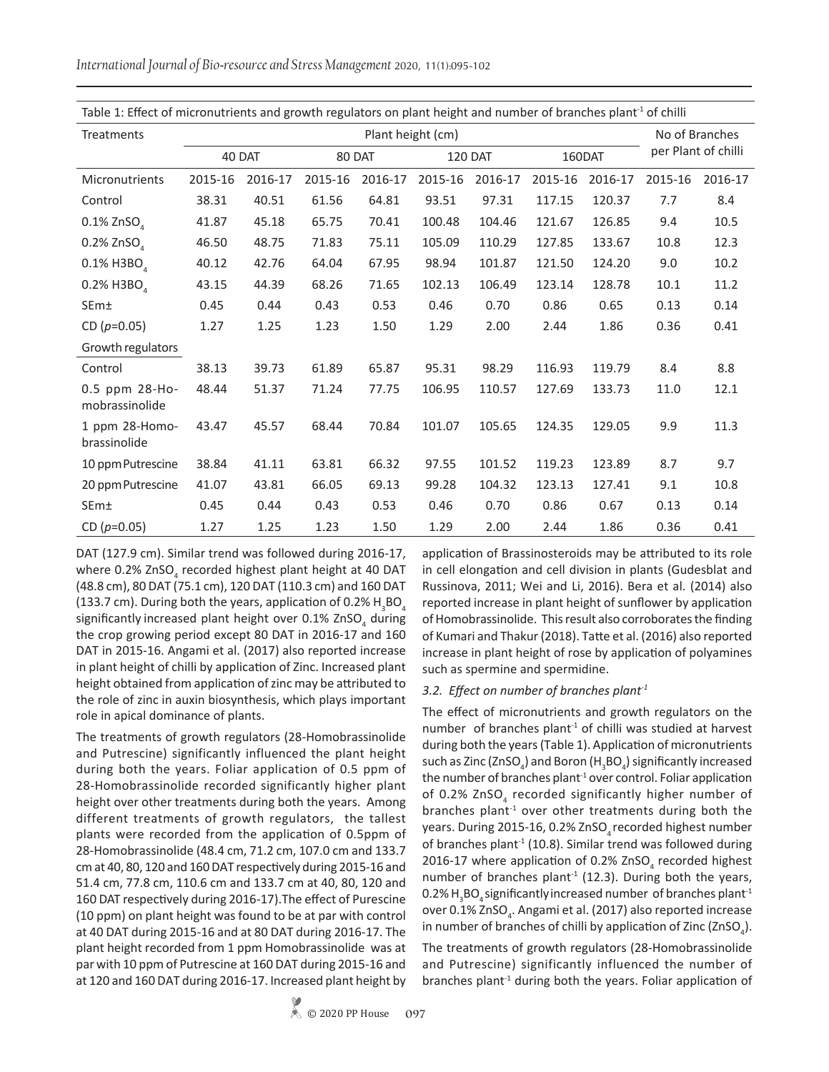Table 1: Effect of micronutrients and growth regulators on plant height and number of branches plant<sup>1</sup> of chilli Treatments **Plant height (cm)** No of Branches 40 DAT 80 DAT 120 DAT 160DAT Per Plant of chilli Micronutrients 2015-16 2016-17 2015-16 2016-17 2015-16 2016-17 2015-16 2016-17 2015-16 2016-17 Control 38.31 40.51 61.56 64.81 93.51 97.31 117.15 120.37 7.7 8.4  $0.1\%$  ZnSO<sub>4</sub> 41.87 45.18 65.75 70.41 100.48 104.46 121.67 126.85 9.4 10.5 0.2% ZnSO<sub>4</sub> 46.50 48.75 71.83 75.11 105.09 110.29 127.85 133.67 10.8 12.3  $0.1\%$  H3BO<sub>4</sub> 40.12 42.76 64.04 67.95 98.94 101.87 121.50 124.20 9.0 10.2  $0.2\%$  H3BO<sub>4</sub> 43.15 44.39 68.26 71.65 102.13 106.49 123.14 128.78 10.1 11.2 SEm± 0.45 0.44 0.43 0.53 0.46 0.70 0.86 0.65 0.13 0.14 CD (*p*=0.05) 1.27 1.25 1.23 1.50 1.29 2.00 2.44 1.86 0.36 0.41 Growth regulators Control 38.13 39.73 61.89 65.87 95.31 98.29 116.93 119.79 8.4 8.8 0.5 ppm 28-Homobrassinolide 48.44 51.37 71.24 77.75 106.95 110.57 127.69 133.73 11.0 12.1 1 ppm 28-Homobrassinolide 43.47 45.57 68.44 70.84 101.07 105.65 124.35 129.05 9.9 11.3 10 ppm Putrescine 38.84 41.11 63.81 66.32 97.55 101.52 119.23 123.89 8.7 9.7 20 ppm Putrescine 41.07 43.81 66.05 69.13 99.28 104.32 123.13 127.41 9.1 10.8 SEm± 0.45 0.44 0.43 0.53 0.46 0.70 0.86 0.67 0.13 0.14

CD (*p*=0.05) 1.27 1.25 1.23 1.50 1.29 2.00 2.44 1.86 0.36 0.41

*International Journal of Bio-resource and Stress Management* 2020, 11(1):095-102

DAT (127.9 cm). Similar trend was followed during 2016-17, where 0.2%  $ZnSO<sub>4</sub>$  recorded highest plant height at 40 DAT (48.8 cm), 80 DAT (75.1 cm), 120 DAT (110.3 cm) and 160 DAT (133.7 cm). During both the years, application of 0.2%  $H_3BO_4$ significantly increased plant height over 0.1% ZnSO<sub>4</sub> during the crop growing period except 80 DAT in 2016-17 and 160 DAT in 2015-16. Angami et al. (2017) also reported increase in plant height of chilli by application of Zinc. Increased plant height obtained from application of zinc may be attributed to the role of zinc in auxin biosynthesis, which plays important role in apical dominance of plants.

The treatments of growth regulators (28-Homobrassinolide and Putrescine) significantly influenced the plant height during both the years. Foliar application of 0.5 ppm of 28-Homobrassinolide recorded significantly higher plant height over other treatments during both the years. Among different treatments of growth regulators, the tallest plants were recorded from the application of 0.5ppm of 28-Homobrassinolide (48.4 cm, 71.2 cm, 107.0 cm and 133.7 cm at 40, 80, 120 and 160 DAT respectively during 2015-16 and 51.4 cm, 77.8 cm, 110.6 cm and 133.7 cm at 40, 80, 120 and 160 DAT respectively during 2016-17).The effect of Purescine (10 ppm) on plant height was found to be at par with control at 40 DAT during 2015-16 and at 80 DAT during 2016-17. The plant height recorded from 1 ppm Homobrassinolide was at par with 10 ppm of Putrescine at 160 DAT during 2015-16 and at 120 and 160 DAT during 2016-17. Increased plant height by

application of Brassinosteroids may be attributed to its role in cell elongation and cell division in plants (Gudesblat and Russinova, 2011; Wei and Li, 2016). Bera et al. (2014) also reported increase in plant height of sunflower by application of Homobrassinolide. This result also corroborates the finding of Kumari and Thakur (2018). Tatte et al. (2016) also reported increase in plant height of rose by application of polyamines such as spermine and spermidine.

#### *3.2. Effect on number of branches plant-1*

The effect of micronutrients and growth regulators on the number of branches plant $1$  of chilli was studied at harvest during both the years (Table 1). Application of micronutrients such as Zinc (ZnSO $_{\textrm{\tiny{d}}}$ ) and Boron (H $_{\textrm{\tiny{3}}}$ BO $_{\textrm{\tiny{4}}}$ ) significantly increased the number of branches plant<sup>-1</sup> over control. Foliar application of 0.2% ZnSO<sub>4</sub> recorded significantly higher number of branches plant<sup>-1</sup> over other treatments during both the years. During 2015-16, 0.2% ZnSO<sub>4</sub> recorded highest number of branches plant<sup>-1</sup> (10.8). Similar trend was followed during 2016-17 where application of 0.2% ZnSO<sub>4</sub> recorded highest number of branches plant<sup>-1</sup> (12.3). During both the years, 0.2%  $\mathsf{H}_{\mathsf{g}}\mathsf{BO}_{\mathsf{4}}$ significantly increased number of branches plant $^{\mathsf{1}}$ over 0.1% ZnSO<sub>4</sub>. Angami et al. (2017) also reported increase in number of branches of chilli by application of Zinc (ZnSO<sub>4</sub>).

The treatments of growth regulators (28-Homobrassinolide and Putrescine) significantly influenced the number of branches plant<sup>-1</sup> during both the years. Foliar application of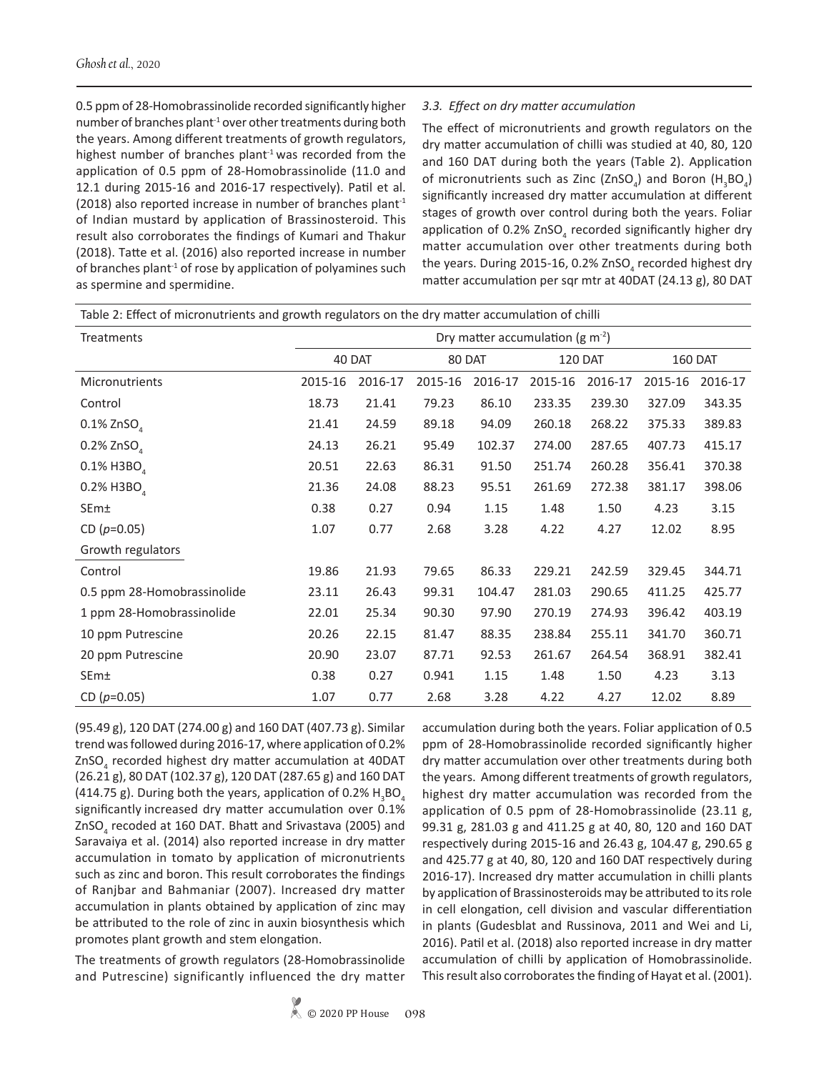0.5 ppm of 28-Homobrassinolide recorded significantly higher number of branches plant-1 over other treatments during both the years. Among different treatments of growth regulators, highest number of branches plant $1$  was recorded from the application of 0.5 ppm of 28-Homobrassinolide (11.0 and 12.1 during 2015-16 and 2016-17 respectively). Patil et al. (2018) also reported increase in number of branches plant<sup>1</sup> of Indian mustard by application of Brassinosteroid. This result also corroborates the findings of Kumari and Thakur (2018). Tatte et al. (2016) also reported increase in number of branches plant<sup>-1</sup> of rose by application of polyamines such as spermine and spermidine.

#### *3.3. Effect on dry matter accumulation*

The effect of micronutrients and growth regulators on the dry matter accumulation of chilli was studied at 40, 80, 120 and 160 DAT during both the years (Table 2). Application of micronutrients such as Zinc (ZnSO<sub>4</sub>) and Boron (H<sub>3</sub>BO<sub>4</sub>) significantly increased dry matter accumulation at different stages of growth over control during both the years. Foliar application of 0.2%  $\text{ZnSO}_4$  recorded significantly higher dry matter accumulation over other treatments during both the years. During 2015-16, 0.2% ZnSO<sub>4</sub> recorded highest dry matter accumulation per sqr mtr at 40DAT (24.13 g), 80 DAT

| Table 2: Effect of micronutrients and growth regulators on the dry matter accumulation of chilli |                                   |         |         |         |                |         |                |         |
|--------------------------------------------------------------------------------------------------|-----------------------------------|---------|---------|---------|----------------|---------|----------------|---------|
| Treatments                                                                                       | Dry matter accumulation (g $m2$ ) |         |         |         |                |         |                |         |
|                                                                                                  | 40 DAT                            |         | 80 DAT  |         | <b>120 DAT</b> |         | <b>160 DAT</b> |         |
| Micronutrients                                                                                   | 2015-16                           | 2016-17 | 2015-16 | 2016-17 | 2015-16        | 2016-17 | 2015-16        | 2016-17 |
| Control                                                                                          | 18.73                             | 21.41   | 79.23   | 86.10   | 233.35         | 239.30  | 327.09         | 343.35  |
| $0.1\%$ ZnSO <sub>4</sub>                                                                        | 21.41                             | 24.59   | 89.18   | 94.09   | 260.18         | 268.22  | 375.33         | 389.83  |
| $0.2\%$ ZnSO                                                                                     | 24.13                             | 26.21   | 95.49   | 102.37  | 274.00         | 287.65  | 407.73         | 415.17  |
| 0.1% H3BO                                                                                        | 20.51                             | 22.63   | 86.31   | 91.50   | 251.74         | 260.28  | 356.41         | 370.38  |
| 0.2% H3BO                                                                                        | 21.36                             | 24.08   | 88.23   | 95.51   | 261.69         | 272.38  | 381.17         | 398.06  |
| SEm±                                                                                             | 0.38                              | 0.27    | 0.94    | 1.15    | 1.48           | 1.50    | 4.23           | 3.15    |
| CD $(p=0.05)$                                                                                    | 1.07                              | 0.77    | 2.68    | 3.28    | 4.22           | 4.27    | 12.02          | 8.95    |
| Growth regulators                                                                                |                                   |         |         |         |                |         |                |         |
| Control                                                                                          | 19.86                             | 21.93   | 79.65   | 86.33   | 229.21         | 242.59  | 329.45         | 344.71  |
| 0.5 ppm 28-Homobrassinolide                                                                      | 23.11                             | 26.43   | 99.31   | 104.47  | 281.03         | 290.65  | 411.25         | 425.77  |
| 1 ppm 28-Homobrassinolide                                                                        | 22.01                             | 25.34   | 90.30   | 97.90   | 270.19         | 274.93  | 396.42         | 403.19  |
| 10 ppm Putrescine                                                                                | 20.26                             | 22.15   | 81.47   | 88.35   | 238.84         | 255.11  | 341.70         | 360.71  |
| 20 ppm Putrescine                                                                                | 20.90                             | 23.07   | 87.71   | 92.53   | 261.67         | 264.54  | 368.91         | 382.41  |
| SEm±                                                                                             | 0.38                              | 0.27    | 0.941   | 1.15    | 1.48           | 1.50    | 4.23           | 3.13    |
| CD $(p=0.05)$                                                                                    | 1.07                              | 0.77    | 2.68    | 3.28    | 4.22           | 4.27    | 12.02          | 8.89    |

(95.49 g), 120 DAT (274.00 g) and 160 DAT (407.73 g). Similar trend was followed during 2016-17, where application of 0.2% ZnSO<sub>4</sub> recorded highest dry matter accumulation at 40DAT (26.21 g), 80 DAT (102.37 g), 120 DAT (287.65 g) and 160 DAT (414.75 g). During both the years, application of 0.2%  $H_3BO_4$ significantly increased dry matter accumulation over 0.1% ZnSO<sub>4</sub> recoded at 160 DAT. Bhatt and Srivastava (2005) and Saravaiya et al. (2014) also reported increase in dry matter accumulation in tomato by application of micronutrients such as zinc and boron. This result corroborates the findings of Ranjbar and Bahmaniar (2007). Increased dry matter accumulation in plants obtained by application of zinc may be attributed to the role of zinc in auxin biosynthesis which promotes plant growth and stem elongation.

The treatments of growth regulators (28-Homobrassinolide and Putrescine) significantly influenced the dry matter accumulation during both the years. Foliar application of 0.5 ppm of 28-Homobrassinolide recorded significantly higher dry matter accumulation over other treatments during both the years. Among different treatments of growth regulators, highest dry matter accumulation was recorded from the application of 0.5 ppm of 28-Homobrassinolide (23.11 g, 99.31 g, 281.03 g and 411.25 g at 40, 80, 120 and 160 DAT respectively during 2015-16 and 26.43 g, 104.47 g, 290.65 g and 425.77 g at 40, 80, 120 and 160 DAT respectively during 2016-17). Increased dry matter accumulation in chilli plants by application of Brassinosteroids may be attributed to its role in cell elongation, cell division and vascular differentiation in plants (Gudesblat and Russinova, 2011 and Wei and Li, 2016). Patil et al. (2018) also reported increase in dry matter accumulation of chilli by application of Homobrassinolide. This result also corroborates the finding of Hayat et al. (2001).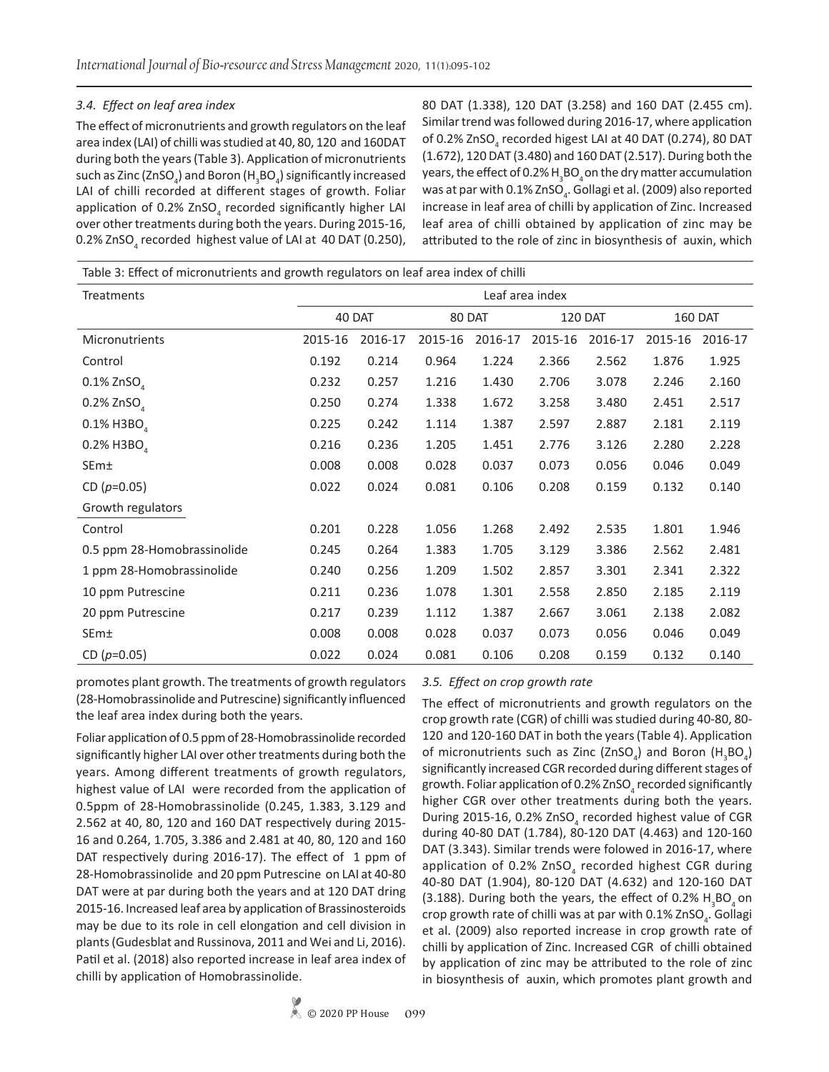## *3.4. Effect on leaf area index*

The effect of micronutrients and growth regulators on the leaf area index (LAI) of chilli was studied at 40, 80, 120 and 160DAT during both the years (Table 3). Application of micronutrients such as Zinc (ZnSO<sub>4</sub>) and Boron (H<sub>3</sub>BO<sub>4</sub>) significantly increased LAI of chilli recorded at different stages of growth. Foliar application of 0.2%  $ZnSO<sub>4</sub>$  recorded significantly higher LAI over other treatments during both the years. During 2015-16, 0.2% ZnSO<sub>4</sub> recorded highest value of LAI at 40 DAT (0.250),

80 DAT (1.338), 120 DAT (3.258) and 160 DAT (2.455 cm). Similar trend was followed during 2016-17, where application of 0.2% ZnSO $_4$  recorded higest LAI at 40 DAT (0.274), 80 DAT (1.672), 120 DAT (3.480) and 160 DAT (2.517). During both the years, the effect of 0.2% H $_{\tiny 3}$ BO $_{\tiny 4}$ on the dry matter accumulation was at par with 0.1% ZnSO $_{\textrm{\tiny{4}}}$ . Gollagi et al. (2009) also reported increase in leaf area of chilli by application of Zinc. Increased leaf area of chilli obtained by application of zinc may be attributed to the role of zinc in biosynthesis of auxin, which

| Treatments                             | Leaf area index |         |         |         |         |         |                |         |
|----------------------------------------|-----------------|---------|---------|---------|---------|---------|----------------|---------|
|                                        | 40 DAT          |         | 80 DAT  |         | 120 DAT |         | <b>160 DAT</b> |         |
| Micronutrients                         | 2015-16         | 2016-17 | 2015-16 | 2016-17 | 2015-16 | 2016-17 | 2015-16        | 2016-17 |
| Control                                | 0.192           | 0.214   | 0.964   | 1.224   | 2.366   | 2.562   | 1.876          | 1.925   |
| $0.1\%$ ZnSO <sub><math>4</math></sub> | 0.232           | 0.257   | 1.216   | 1.430   | 2.706   | 3.078   | 2.246          | 2.160   |
| $0.2\%$ ZnSO <sub>4</sub>              | 0.250           | 0.274   | 1.338   | 1.672   | 3.258   | 3.480   | 2.451          | 2.517   |
| 0.1% H3BO                              | 0.225           | 0.242   | 1.114   | 1.387   | 2.597   | 2.887   | 2.181          | 2.119   |
| 0.2% H3BO                              | 0.216           | 0.236   | 1.205   | 1.451   | 2.776   | 3.126   | 2.280          | 2.228   |
| SEm±                                   | 0.008           | 0.008   | 0.028   | 0.037   | 0.073   | 0.056   | 0.046          | 0.049   |
| CD $(p=0.05)$                          | 0.022           | 0.024   | 0.081   | 0.106   | 0.208   | 0.159   | 0.132          | 0.140   |
| Growth regulators                      |                 |         |         |         |         |         |                |         |
| Control                                | 0.201           | 0.228   | 1.056   | 1.268   | 2.492   | 2.535   | 1.801          | 1.946   |
| 0.5 ppm 28-Homobrassinolide            | 0.245           | 0.264   | 1.383   | 1.705   | 3.129   | 3.386   | 2.562          | 2.481   |
| 1 ppm 28-Homobrassinolide              | 0.240           | 0.256   | 1.209   | 1.502   | 2.857   | 3.301   | 2.341          | 2.322   |
| 10 ppm Putrescine                      | 0.211           | 0.236   | 1.078   | 1.301   | 2.558   | 2.850   | 2.185          | 2.119   |
| 20 ppm Putrescine                      | 0.217           | 0.239   | 1.112   | 1.387   | 2.667   | 3.061   | 2.138          | 2.082   |
| SEm±                                   | 0.008           | 0.008   | 0.028   | 0.037   | 0.073   | 0.056   | 0.046          | 0.049   |
| CD $(p=0.05)$                          | 0.022           | 0.024   | 0.081   | 0.106   | 0.208   | 0.159   | 0.132          | 0.140   |

promotes plant growth. The treatments of growth regulators (28-Homobrassinolide and Putrescine) significantly influenced the leaf area index during both the years.

Foliar application of 0.5 ppm of 28-Homobrassinolide recorded significantly higher LAI over other treatments during both the years. Among different treatments of growth regulators, highest value of LAI were recorded from the application of 0.5ppm of 28-Homobrassinolide (0.245, 1.383, 3.129 and 2.562 at 40, 80, 120 and 160 DAT respectively during 2015- 16 and 0.264, 1.705, 3.386 and 2.481 at 40, 80, 120 and 160 DAT respectively during 2016-17). The effect of 1 ppm of 28-Homobrassinolide and 20 ppm Putrescine on LAI at 40-80 DAT were at par during both the years and at 120 DAT dring 2015-16. Increased leaf area by application of Brassinosteroids may be due to its role in cell elongation and cell division in plants (Gudesblat and Russinova, 2011 and Wei and Li, 2016). Patil et al. (2018) also reported increase in leaf area index of chilli by application of Homobrassinolide.

## *3.5. Effect on crop growth rate*

The effect of micronutrients and growth regulators on the crop growth rate (CGR) of chilli was studied during 40-80, 80- 120 and 120-160 DAT in both the years (Table 4). Application of micronutrients such as Zinc (ZnSO<sub>4</sub>) and Boron (H<sub>3</sub>BO<sub>4</sub>) significantly increased CGR recorded during different stages of growth. Foliar application of 0.2% ZnSO $\rm _4$  recorded significantly higher CGR over other treatments during both the years. During 2015-16, 0.2%  $ZnSO<sub>4</sub>$  recorded highest value of CGR during 40-80 DAT (1.784), 80-120 DAT (4.463) and 120-160 DAT (3.343). Similar trends were folowed in 2016-17, where application of 0.2% ZnSO<sub>4</sub> recorded highest CGR during 40-80 DAT (1.904), 80-120 DAT (4.632) and 120-160 DAT (3.188). During both the years, the effect of 0.2%  $H_3BO_4$  on crop growth rate of chilli was at par with 0.1% ZnSO<sub>4</sub>. Gollagi et al. (2009) also reported increase in crop growth rate of chilli by application of Zinc. Increased CGR of chilli obtained by application of zinc may be attributed to the role of zinc in biosynthesis of auxin, which promotes plant growth and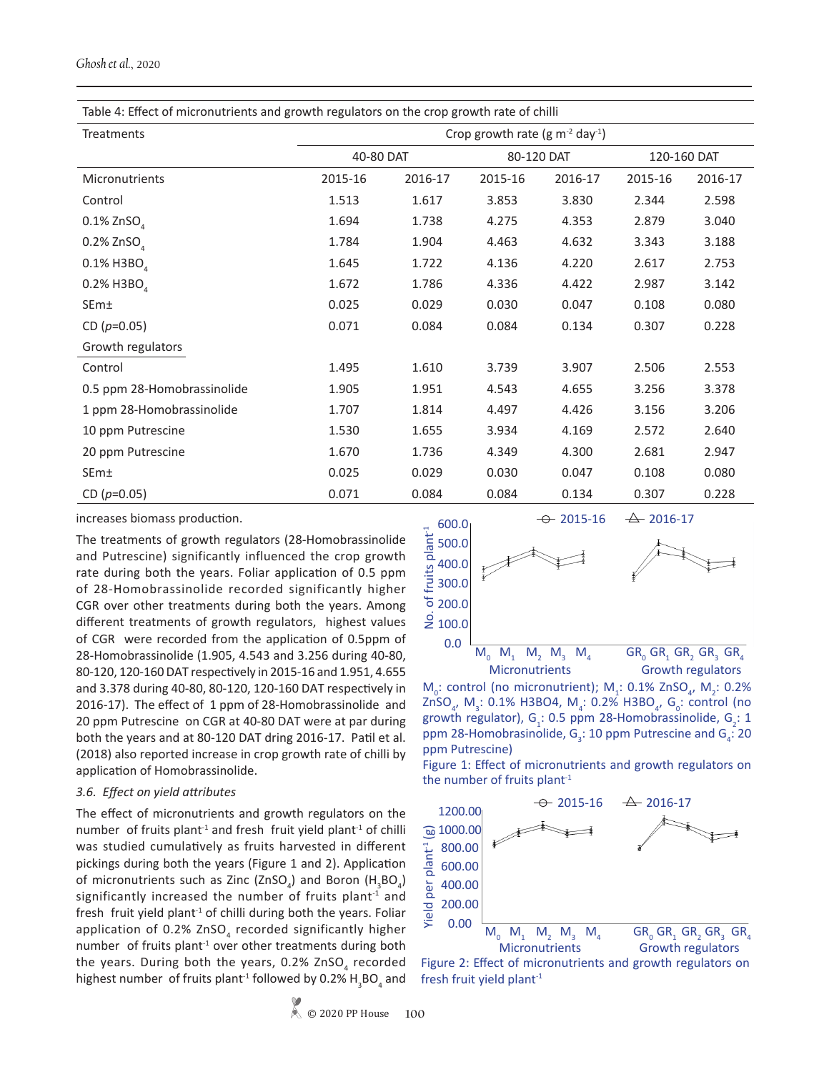| Table 4: Effect of micronutrients and growth regulators on the crop growth rate of chilli |                                               |         |            |         |             |         |  |  |  |
|-------------------------------------------------------------------------------------------|-----------------------------------------------|---------|------------|---------|-------------|---------|--|--|--|
| Treatments                                                                                | Crop growth rate (g $m-2$ day <sup>-1</sup> ) |         |            |         |             |         |  |  |  |
|                                                                                           | 40-80 DAT                                     |         | 80-120 DAT |         | 120-160 DAT |         |  |  |  |
| Micronutrients                                                                            | 2015-16                                       | 2016-17 | 2015-16    | 2016-17 | 2015-16     | 2016-17 |  |  |  |
| Control                                                                                   | 1.513                                         | 1.617   | 3.853      | 3.830   | 2.344       | 2.598   |  |  |  |
| $0.1\%$ ZnSO                                                                              | 1.694                                         | 1.738   | 4.275      | 4.353   | 2.879       | 3.040   |  |  |  |
| $0.2\%$ ZnSO <sub>4</sub>                                                                 | 1.784                                         | 1.904   | 4.463      | 4.632   | 3.343       | 3.188   |  |  |  |
| 0.1% H3BO                                                                                 | 1.645                                         | 1.722   | 4.136      | 4.220   | 2.617       | 2.753   |  |  |  |
| $0.2\%$ H3BO                                                                              | 1.672                                         | 1.786   | 4.336      | 4.422   | 2.987       | 3.142   |  |  |  |
| SEm±                                                                                      | 0.025                                         | 0.029   | 0.030      | 0.047   | 0.108       | 0.080   |  |  |  |
| CD $(p=0.05)$                                                                             | 0.071                                         | 0.084   | 0.084      | 0.134   | 0.307       | 0.228   |  |  |  |
| Growth regulators                                                                         |                                               |         |            |         |             |         |  |  |  |
| Control                                                                                   | 1.495                                         | 1.610   | 3.739      | 3.907   | 2.506       | 2.553   |  |  |  |
| 0.5 ppm 28-Homobrassinolide                                                               | 1.905                                         | 1.951   | 4.543      | 4.655   | 3.256       | 3.378   |  |  |  |
| 1 ppm 28-Homobrassinolide                                                                 | 1.707                                         | 1.814   | 4.497      | 4.426   | 3.156       | 3.206   |  |  |  |
| 10 ppm Putrescine                                                                         | 1.530                                         | 1.655   | 3.934      | 4.169   | 2.572       | 2.640   |  |  |  |
| 20 ppm Putrescine                                                                         | 1.670                                         | 1.736   | 4.349      | 4.300   | 2.681       | 2.947   |  |  |  |
| SEm±                                                                                      | 0.025                                         | 0.029   | 0.030      | 0.047   | 0.108       | 0.080   |  |  |  |
| CD $(p=0.05)$                                                                             | 0.071                                         | 0.084   | 0.084      | 0.134   | 0.307       | 0.228   |  |  |  |

increases biomass production.

The treatments of growth regulators (28-Homobrassinolide and Putrescine) significantly influenced the crop growth rate during both the years. Foliar application of 0.5 ppm of 28-Homobrassinolide recorded significantly higher CGR over other treatments during both the years. Among different treatments of growth regulators, highest values of CGR were recorded from the application of 0.5ppm of 28-Homobrassinolide (1.905, 4.543 and 3.256 during 40-80, 80-120, 120-160 DAT respectively in 2015-16 and 1.951, 4.655 and 3.378 during 40-80, 80-120, 120-160 DAT respectively in 2016-17). The effect of 1 ppm of 28-Homobrassinolide and 20 ppm Putrescine on CGR at 40-80 DAT were at par during both the years and at 80-120 DAT dring 2016-17. Patil et al. (2018) also reported increase in crop growth rate of chilli by application of Homobrassinolide.

#### *3.6. Effect on yield attributes*

The effect of micronutrients and growth regulators on the number of fruits plant<sup>-1</sup> and fresh fruit yield plant<sup>-1</sup> of chilli was studied cumulatively as fruits harvested in different pickings during both the years (Figure 1 and 2). Application of micronutrients such as Zinc (ZnSO<sub>4</sub>) and Boron (H<sub>3</sub>BO<sub>4</sub>) significantly increased the number of fruits plant<sup>-1</sup> and fresh fruit yield plant<sup>-1</sup> of chilli during both the years. Foliar application of 0.2% ZnSO<sub>4</sub> recorded significantly higher number of fruits plant<sup>-1</sup> over other treatments during both the years. During both the years, 0.2% ZnSO<sub>4</sub> recorded highest number of fruits plant<sup>-1</sup> followed by 0.2%  $H_3BO_4$  and



 $M_0$ : control (no micronutrient);  $M_1$ : 0.1% ZnSO<sub>4</sub>,  $M_2$ : 0.2% ZnSO<sub>4</sub>, M<sub>3</sub>: 0.1% H3BO4, M<sub>4</sub>: 0.2% H3BO<sub>4</sub>, G<sub>0</sub>: control (no growth regulator),  $G_i$ : 0.5 ppm 28-Homobrassinolide,  $G_i$ : 1 ppm 28-Homobrasinolide,  $G_3$ : 10 ppm Putrescine and  $G_4$ : 20 ppm Putrescine)

Figure 1: Effect of micronutrients and growth regulators on the number of fruits plant<sup>-1</sup>



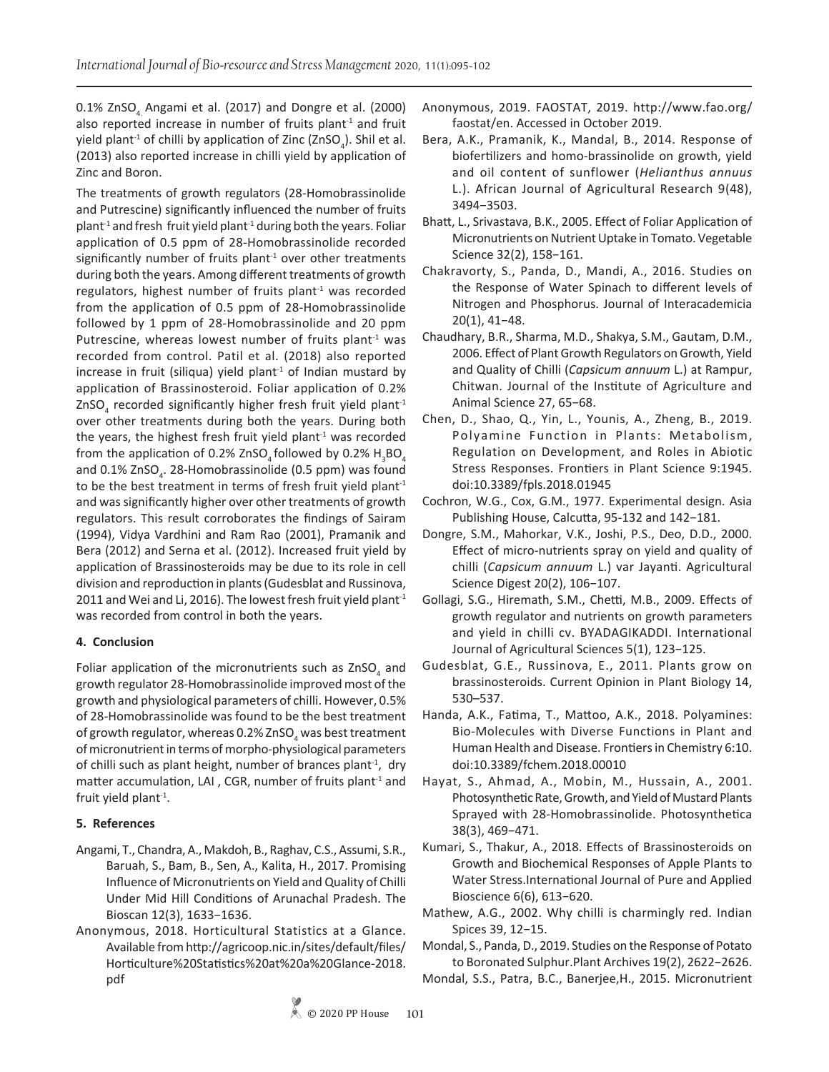0.1% ZnSO, Angami et al. (2017) and Dongre et al. (2000) also reported increase in number of fruits plant $1$  and fruit yield plant<sup>-1</sup> of chilli by application of Zinc (ZnSO<sub>4</sub>). Shil et al. (2013) also reported increase in chilli yield by application of Zinc and Boron.

The treatments of growth regulators (28-Homobrassinolide and Putrescine) significantly influenced the number of fruits  $plant<sup>-1</sup>$  and fresh fruit yield plant<sup>-1</sup> during both the years. Foliar application of 0.5 ppm of 28-Homobrassinolide recorded significantly number of fruits plant $1$  over other treatments during both the years. Among different treatments of growth regulators, highest number of fruits plant<sup>-1</sup> was recorded from the application of 0.5 ppm of 28-Homobrassinolide followed by 1 ppm of 28-Homobrassinolide and 20 ppm Putrescine, whereas lowest number of fruits plant<sup>-1</sup> was recorded from control. Patil et al. (2018) also reported increase in fruit (siliqua) yield plant<sup>-1</sup> of Indian mustard by application of Brassinosteroid. Foliar application of 0.2% ZnSO<sub>4</sub> recorded significantly higher fresh fruit yield plant<sup>-1</sup> over other treatments during both the years. During both the years, the highest fresh fruit yield plant $1$  was recorded from the application of 0.2% ZnSO<sub>4</sub> followed by 0.2%  $H_3BO_4$ and 0.1% ZnSO<sub>4</sub>. 28-Homobrassinolide (0.5 ppm) was found to be the best treatment in terms of fresh fruit yield plant<sup>-1</sup> and was significantly higher over other treatments of growth regulators. This result corroborates the findings of Sairam (1994), Vidya Vardhini and Ram Rao (2001), Pramanik and Bera (2012) and Serna et al. (2012). Increased fruit yield by application of Brassinosteroids may be due to its role in cell division and reproduction in plants (Gudesblat and Russinova, 2011 and Wei and Li, 2016). The lowest fresh fruit yield plant<sup>-1</sup> was recorded from control in both the years.

#### **4. Conclusion**

Foliar application of the micronutrients such as  $ZnSO_4$  and growth regulator 28-Homobrassinolide improved most of the growth and physiological parameters of chilli. However, 0.5% of 28-Homobrassinolide was found to be the best treatment of growth regulator, whereas 0.2% ZnSO $_{\rm 4}$  was best treatment of micronutrient in terms of morpho-physiological parameters of chilli such as plant height, number of brances plant<sup>-1</sup>, dry matter accumulation, LAI, CGR, number of fruits plant<sup>-1</sup> and fruit yield plant<sup>-1</sup>.

#### **5. References**

- Angami, T., Chandra, A., Makdoh, B., Raghav, C.S., Assumi, S.R., Baruah, S., Bam, B., Sen, A., Kalita, H., 2017. Promising Influence of Micronutrients on Yield and Quality of Chilli Under Mid Hill Conditions of Arunachal Pradesh. The Bioscan 12(3), 1633−1636.
- Anonymous, 2018. Horticultural Statistics at a Glance. Available from http://agricoop.nic.in/sites/default/files/ Horticulture%20Statistics%20at%20a%20Glance-2018. pdf
- Anonymous, 2019. FAOSTAT, 2019. http://www.fao.org/ faostat/en. Accessed in October 2019.
- Bera, A.K., Pramanik, K., Mandal, B., 2014. Response of biofertilizers and homo-brassinolide on growth, yield and oil content of sunflower (*Helianthus annuus* L.). African Journal of Agricultural Research 9(48), 3494−3503.
- Bhatt, L., Srivastava, B.K., 2005. Effect of Foliar Application of Micronutrients on Nutrient Uptake in Tomato. Vegetable Science 32(2), 158−161.
- Chakravorty, S., Panda, D., Mandi, A., 2016. Studies on the Response of Water Spinach to different levels of Nitrogen and Phosphorus. Journal of Interacademicia 20(1), 41−48.
- Chaudhary, B.R., Sharma, M.D., Shakya, S.M., Gautam, D.M., 2006. Effect of Plant Growth Regulators on Growth, Yield and Quality of Chilli (*Capsicum annuum* L.) at Rampur, Chitwan. Journal of the Institute of Agriculture and Animal Science 27, 65−68.
- Chen, D., Shao, Q., Yin, L., Younis, A., Zheng, B., 2019. Polyamine Function in Plants: Metabolism, Regulation on Development, and Roles in Abiotic Stress Responses. Frontiers in Plant Science 9:1945. doi:10.3389/fpls.2018.01945
- Cochron, W.G., Cox, G.M., 1977. Experimental design. Asia Publishing House, Calcutta, 95-132 and 142−181.
- Dongre, S.M., Mahorkar, V.K., Joshi, P.S., Deo, D.D., 2000. Effect of micro-nutrients spray on yield and quality of chilli (*Capsicum annuum* L.) var Jayanti. Agricultural Science Digest 20(2), 106−107.
- Gollagi, S.G., Hiremath, S.M., Chetti, M.B., 2009. Effects of growth regulator and nutrients on growth parameters and yield in chilli cv. BYADAGIKADDI. International Journal of Agricultural Sciences 5(1), 123−125.
- Gudesblat, G.E., Russinova, E., 2011. Plants grow on brassinosteroids. Current Opinion in Plant Biology 14, 530–537.
- Handa, A.K., Fatima, T., Mattoo, A.K., 2018. Polyamines: Bio-Molecules with Diverse Functions in Plant and Human Health and Disease. Frontiers in Chemistry 6:10. doi:10.3389/fchem.2018.00010
- Hayat, S., Ahmad, A., Mobin, M., Hussain, A., 2001. Photosynthetic Rate, Growth, and Yield of Mustard Plants Sprayed with 28-Homobrassinolide. Photosynthetica 38(3), 469−471.
- Kumari, S., Thakur, A., 2018. Effects of Brassinosteroids on Growth and Biochemical Responses of Apple Plants to Water Stress.International Journal of Pure and Applied Bioscience 6(6), 613−620.
- Mathew, A.G., 2002. Why chilli is charmingly red. Indian Spices 39, 12−15.
- Mondal, S., Panda, D., 2019. Studies on the Response of Potato to Boronated Sulphur.Plant Archives 19(2), 2622−2626.
- Mondal, S.S., Patra, B.C., Banerjee,H., 2015. Micronutrient